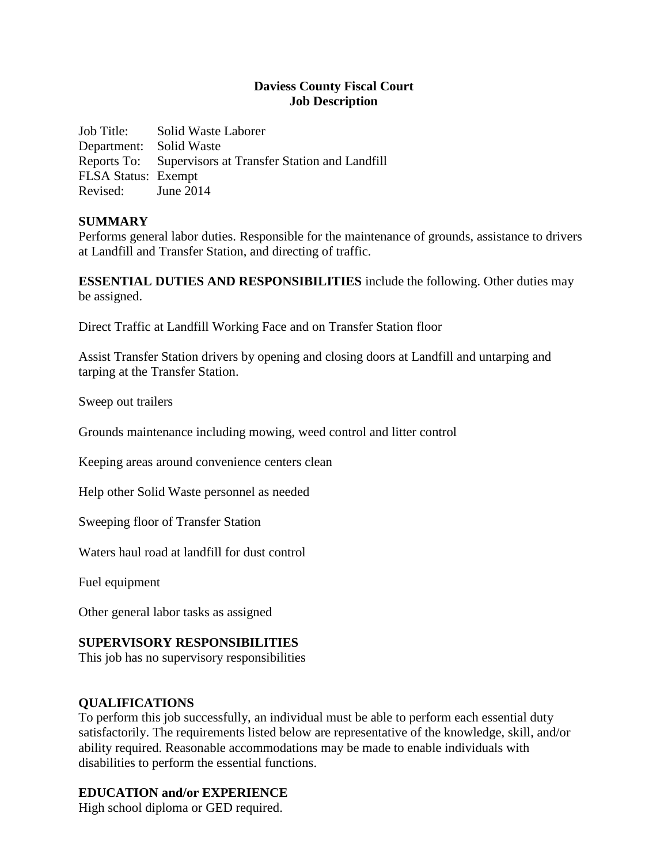## **Daviess County Fiscal Court Job Description**

Job Title: Solid Waste Laborer Department: Solid Waste Reports To: Supervisors at Transfer Station and Landfill FLSA Status: Exempt Revised: June 2014

### **SUMMARY**

Performs general labor duties. Responsible for the maintenance of grounds, assistance to drivers at Landfill and Transfer Station, and directing of traffic.

**ESSENTIAL DUTIES AND RESPONSIBILITIES** include the following. Other duties may be assigned.

Direct Traffic at Landfill Working Face and on Transfer Station floor

Assist Transfer Station drivers by opening and closing doors at Landfill and untarping and tarping at the Transfer Station.

Sweep out trailers

Grounds maintenance including mowing, weed control and litter control

Keeping areas around convenience centers clean

Help other Solid Waste personnel as needed

Sweeping floor of Transfer Station

Waters haul road at landfill for dust control

Fuel equipment

Other general labor tasks as assigned

### **SUPERVISORY RESPONSIBILITIES**

This job has no supervisory responsibilities

### **QUALIFICATIONS**

To perform this job successfully, an individual must be able to perform each essential duty satisfactorily. The requirements listed below are representative of the knowledge, skill, and/or ability required. Reasonable accommodations may be made to enable individuals with disabilities to perform the essential functions.

### **EDUCATION and/or EXPERIENCE**

High school diploma or GED required.